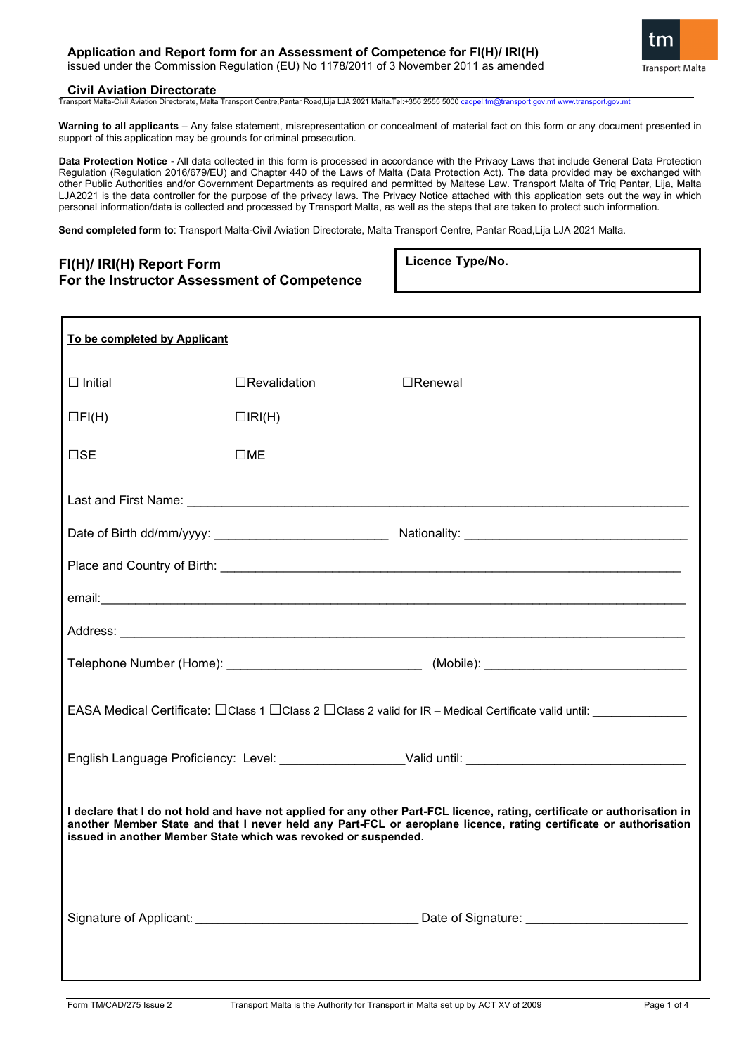issued under the Commission Regulation (EU) No 1178/2011 of 3 November 2011 as amended

#### **Civil Aviation Directorate**

Transport Malta-Civil Aviation Directorate, Malta Transport Centre,Pantar Road,Lija LJA 2021 Malta.Tel:+356 2555 5000 [cadpel.tm@transport.gov.mt](mailto:cadpel.tm@transport.gov.mt) ww

**Warning to all applicants** – Any false statement, misrepresentation or concealment of material fact on this form or any document presented in support of this application may be grounds for criminal prosecution.

**Data Protection Notice -** All data collected in this form is processed in accordance with the Privacy Laws that include General Data Protection Regulation (Regulation 2016/679/EU) and Chapter 440 of the Laws of Malta (Data Protection Act). The data provided may be exchanged with other Public Authorities and/or Government Departments as required and permitted by Maltese Law. Transport Malta of Triq Pantar, Lija, Malta LJA2021 is the data controller for the purpose of the privacy laws. The Privacy Notice attached with this application sets out the way in which personal information/data is collected and processed by Transport Malta, as well as the steps that are taken to protect such information.

**Send completed form to**: Transport Malta-Civil Aviation Directorate, Malta Transport Centre, Pantar Road,Lija LJA 2021 Malta.

| FI(H)/ IRI(H) Report Form                   |
|---------------------------------------------|
| For the Instructor Assessment of Competence |

**Licence Type/No.**

| To be completed by Applicant                                                                                                                                                                                                                                                                                     |                     |                |  |  |  |
|------------------------------------------------------------------------------------------------------------------------------------------------------------------------------------------------------------------------------------------------------------------------------------------------------------------|---------------------|----------------|--|--|--|
| $\Box$ Initial                                                                                                                                                                                                                                                                                                   | $\Box$ Revalidation | $\Box$ Renewal |  |  |  |
| $\Box$ FI(H)                                                                                                                                                                                                                                                                                                     | $\Box$ RI(H)        |                |  |  |  |
| $\square$ SE                                                                                                                                                                                                                                                                                                     | $\square$ ME        |                |  |  |  |
|                                                                                                                                                                                                                                                                                                                  |                     |                |  |  |  |
|                                                                                                                                                                                                                                                                                                                  |                     |                |  |  |  |
|                                                                                                                                                                                                                                                                                                                  |                     |                |  |  |  |
|                                                                                                                                                                                                                                                                                                                  |                     |                |  |  |  |
|                                                                                                                                                                                                                                                                                                                  |                     |                |  |  |  |
|                                                                                                                                                                                                                                                                                                                  |                     |                |  |  |  |
| EASA Medical Certificate: CClass 1 CClass 2 CClass 2 valid for IR - Medical Certificate valid until: 1980 1990                                                                                                                                                                                                   |                     |                |  |  |  |
|                                                                                                                                                                                                                                                                                                                  |                     |                |  |  |  |
| I declare that I do not hold and have not applied for any other Part-FCL licence, rating, certificate or authorisation in<br>another Member State and that I never held any Part-FCL or aeroplane licence, rating certificate or authorisation<br>issued in another Member State which was revoked or suspended. |                     |                |  |  |  |
|                                                                                                                                                                                                                                                                                                                  |                     |                |  |  |  |

**Transport Malta**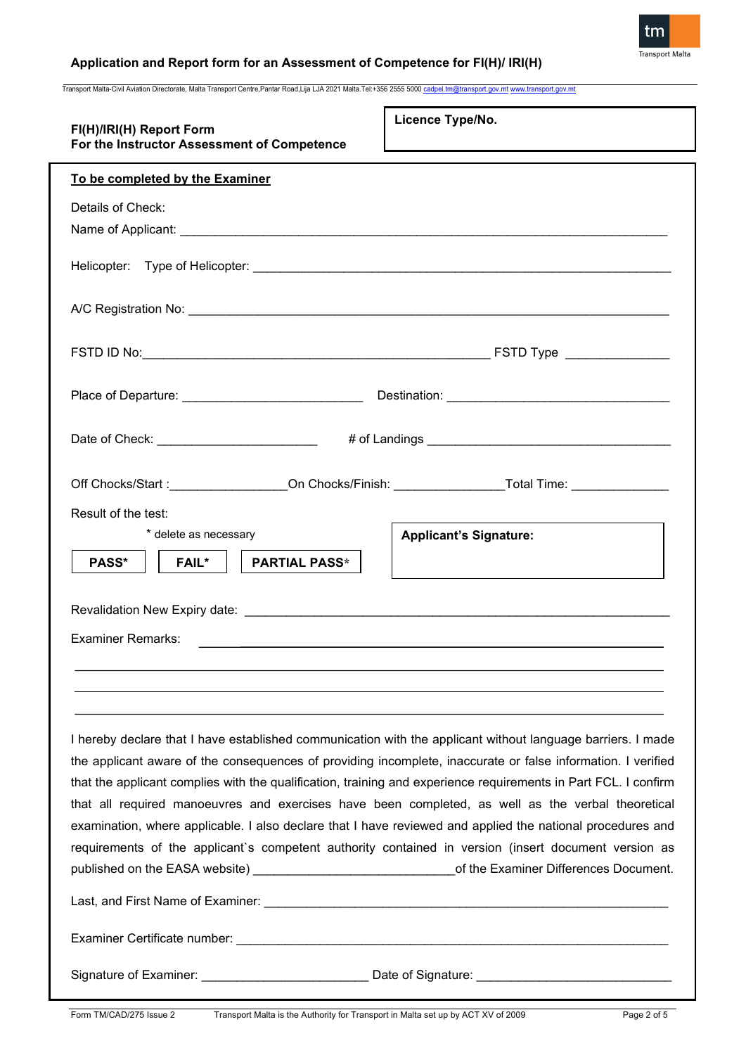

Transport Malta-Civil Aviation Directorate, Malta Transport Centre,Pantar Road,Lija LJA 2021 Malta.Tel:+356 2555 5000 [cadpel.tm@transport.gov.mt](mailto:cadpel.tm@transport.gov.mt) www.transport.gov.m

| FI(H)/IRI(H) Report Form<br>For the Instructor Assessment of Competence                                                                                                                                                                                                                                                                                                                                                                                                                                                                                                                                                                                                                                                                                                            | Licence Type/No.                                                                                                      |  |  |  |
|------------------------------------------------------------------------------------------------------------------------------------------------------------------------------------------------------------------------------------------------------------------------------------------------------------------------------------------------------------------------------------------------------------------------------------------------------------------------------------------------------------------------------------------------------------------------------------------------------------------------------------------------------------------------------------------------------------------------------------------------------------------------------------|-----------------------------------------------------------------------------------------------------------------------|--|--|--|
| To be completed by the Examiner                                                                                                                                                                                                                                                                                                                                                                                                                                                                                                                                                                                                                                                                                                                                                    |                                                                                                                       |  |  |  |
| Details of Check:                                                                                                                                                                                                                                                                                                                                                                                                                                                                                                                                                                                                                                                                                                                                                                  |                                                                                                                       |  |  |  |
|                                                                                                                                                                                                                                                                                                                                                                                                                                                                                                                                                                                                                                                                                                                                                                                    |                                                                                                                       |  |  |  |
|                                                                                                                                                                                                                                                                                                                                                                                                                                                                                                                                                                                                                                                                                                                                                                                    |                                                                                                                       |  |  |  |
|                                                                                                                                                                                                                                                                                                                                                                                                                                                                                                                                                                                                                                                                                                                                                                                    |                                                                                                                       |  |  |  |
|                                                                                                                                                                                                                                                                                                                                                                                                                                                                                                                                                                                                                                                                                                                                                                                    |                                                                                                                       |  |  |  |
| Place of Departure: ___________________________________                                                                                                                                                                                                                                                                                                                                                                                                                                                                                                                                                                                                                                                                                                                            |                                                                                                                       |  |  |  |
| Date of Check: ___________________________                                                                                                                                                                                                                                                                                                                                                                                                                                                                                                                                                                                                                                                                                                                                         |                                                                                                                       |  |  |  |
|                                                                                                                                                                                                                                                                                                                                                                                                                                                                                                                                                                                                                                                                                                                                                                                    |                                                                                                                       |  |  |  |
| Result of the test:<br>* delete as necessary                                                                                                                                                                                                                                                                                                                                                                                                                                                                                                                                                                                                                                                                                                                                       | <b>Applicant's Signature:</b>                                                                                         |  |  |  |
| <b>PASS*</b><br><b>PARTIAL PASS*</b><br><b>FAIL*</b>                                                                                                                                                                                                                                                                                                                                                                                                                                                                                                                                                                                                                                                                                                                               |                                                                                                                       |  |  |  |
|                                                                                                                                                                                                                                                                                                                                                                                                                                                                                                                                                                                                                                                                                                                                                                                    |                                                                                                                       |  |  |  |
| Examiner Remarks:                                                                                                                                                                                                                                                                                                                                                                                                                                                                                                                                                                                                                                                                                                                                                                  | <u> 1989 - Johann John Stoff, deutscher Stoffen und der Stoffen und der Stoffen und der Stoffen und der Stoffen u</u> |  |  |  |
|                                                                                                                                                                                                                                                                                                                                                                                                                                                                                                                                                                                                                                                                                                                                                                                    |                                                                                                                       |  |  |  |
|                                                                                                                                                                                                                                                                                                                                                                                                                                                                                                                                                                                                                                                                                                                                                                                    |                                                                                                                       |  |  |  |
| I hereby declare that I have established communication with the applicant without language barriers. I made<br>the applicant aware of the consequences of providing incomplete, inaccurate or false information. I verified<br>that the applicant complies with the qualification, training and experience requirements in Part FCL. I confirm<br>that all required manoeuvres and exercises have been completed, as well as the verbal theoretical<br>examination, where applicable. I also declare that I have reviewed and applied the national procedures and<br>requirements of the applicant's competent authority contained in version (insert document version as<br>published on the EASA website) _________________________________of the Examiner Differences Document. |                                                                                                                       |  |  |  |
|                                                                                                                                                                                                                                                                                                                                                                                                                                                                                                                                                                                                                                                                                                                                                                                    |                                                                                                                       |  |  |  |
|                                                                                                                                                                                                                                                                                                                                                                                                                                                                                                                                                                                                                                                                                                                                                                                    |                                                                                                                       |  |  |  |
| Signature of Examiner: __________________________________Date of Signature: __________________________________                                                                                                                                                                                                                                                                                                                                                                                                                                                                                                                                                                                                                                                                     |                                                                                                                       |  |  |  |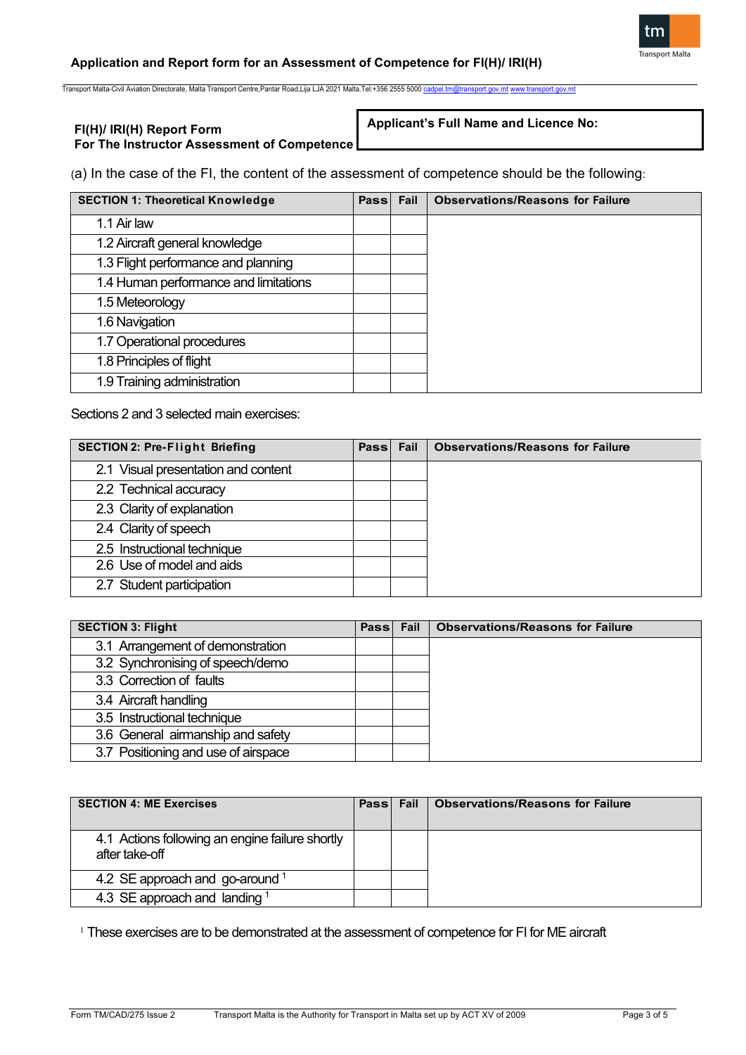

Transport Malta-Civil Aviation Directorate, Malta Transport Centre,Pantar Road,Lija LJA 2021 Malta.Tel:+356 2555 5000 [cadpel.tm@transport.gov.mt](mailto:cadpel.tm@transport.gov.mt) [www.transport.gov.mt](http://www.transport.gov.mt/)

### **FI(H)/ IRI(H) Report Form For The Instructor Assessment of Competence**

### **Applicant's Full Name and Licence No:**

(a) In the case of the FI, the content of the assessment of competence should be the following:

| <b>SECTION 1: Theoretical Knowledge</b> | Passl | Fail | <b>Observations/Reasons for Failure</b> |
|-----------------------------------------|-------|------|-----------------------------------------|
| 1.1 Air law                             |       |      |                                         |
| 1.2 Aircraft general knowledge          |       |      |                                         |
| 1.3 Flight performance and planning     |       |      |                                         |
| 1.4 Human performance and limitations   |       |      |                                         |
| 1.5 Meteorology                         |       |      |                                         |
| 1.6 Navigation                          |       |      |                                         |
| 1.7 Operational procedures              |       |      |                                         |
| 1.8 Principles of flight                |       |      |                                         |
| 1.9 Training administration             |       |      |                                         |

Sections 2 and 3 selected main exercises:

| <b>SECTION 2: Pre-Flight Briefing</b> | Passl | Fail | <b>Observations/Reasons for Failure</b> |
|---------------------------------------|-------|------|-----------------------------------------|
| 2.1 Visual presentation and content   |       |      |                                         |
| 2.2 Technical accuracy                |       |      |                                         |
| 2.3 Clarity of explanation            |       |      |                                         |
| 2.4 Clarity of speech                 |       |      |                                         |
| 2.5 Instructional technique           |       |      |                                         |
| 2.6 Use of model and aids             |       |      |                                         |
| 2.7 Student participation             |       |      |                                         |

| <b>SECTION 3: Flight</b>            | Pass Fail | <b>Observations/Reasons for Failure</b> |
|-------------------------------------|-----------|-----------------------------------------|
| 3.1 Arrangement of demonstration    |           |                                         |
| 3.2 Synchronising of speech/demo    |           |                                         |
| 3.3 Correction of faults            |           |                                         |
| 3.4 Aircraft handling               |           |                                         |
| 3.5 Instructional technique         |           |                                         |
| 3.6 General airmanship and safety   |           |                                         |
| 3.7 Positioning and use of airspace |           |                                         |

| <b>SECTION 4: ME Exercises</b>                                    | Pass Fail | Observations/Reasons for Failure |
|-------------------------------------------------------------------|-----------|----------------------------------|
| 4.1 Actions following an engine failure shortly<br>after take-off |           |                                  |
| 4.2 SE approach and go-around $1$                                 |           |                                  |
| 4.3 SE approach and landing $1$                                   |           |                                  |

<sup>1</sup> These exercises are to be demonstrated at the assessment of competence for FI for ME aircraft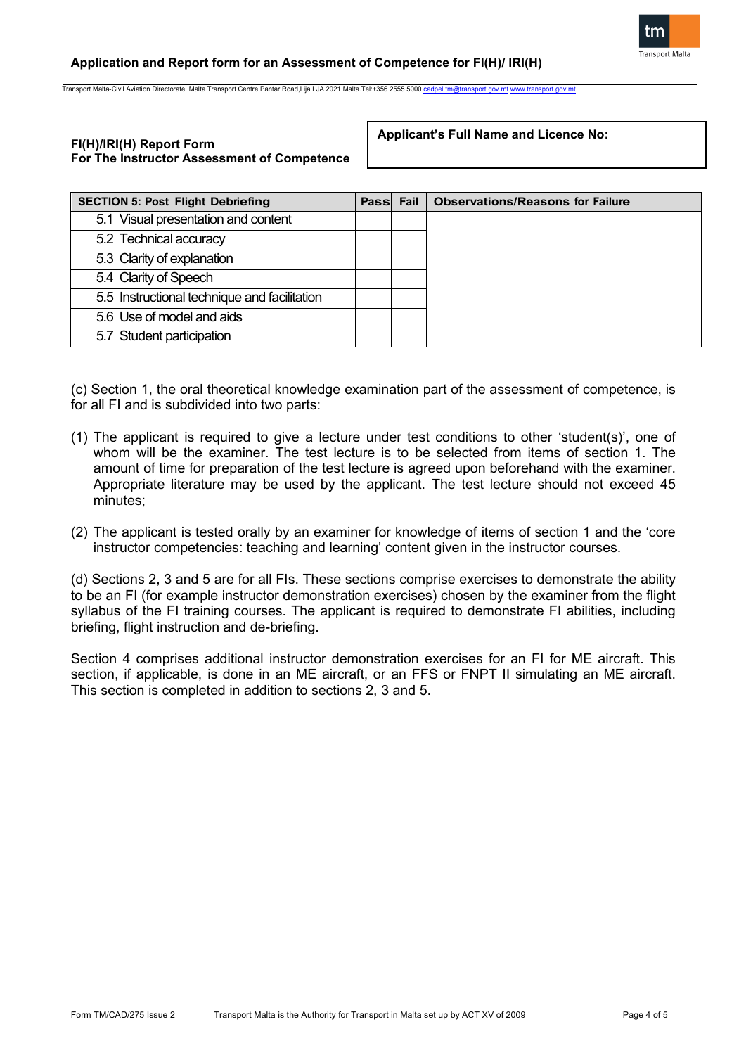

Transport Malta-Civil Aviation Directorate, Malta Transport Centre,Pantar Road,Lija LJA 2021 Malta.Tel:+356 2555 5000

## **FI(H)/IRI(H) Report Form For The Instructor Assessment of Competence**

**Applicant's Full Name and Licence No:**

| <b>SECTION 5: Post Flight Debriefing</b>     | Passi Fail | <b>Observations/Reasons for Failure</b> |
|----------------------------------------------|------------|-----------------------------------------|
| 5.1 Visual presentation and content          |            |                                         |
| 5.2 Technical accuracy                       |            |                                         |
| 5.3 Clarity of explanation                   |            |                                         |
| 5.4 Clarity of Speech                        |            |                                         |
| 5.5 Instructional technique and facilitation |            |                                         |
| 5.6 Use of model and aids                    |            |                                         |
| 5.7 Student participation                    |            |                                         |

(c) Section 1, the oral theoretical knowledge examination part of the assessment of competence, is for all FI and is subdivided into two parts:

- (1) The applicant is required to give a lecture under test conditions to other 'student(s)', one of whom will be the examiner. The test lecture is to be selected from items of section 1. The amount of time for preparation of the test lecture is agreed upon beforehand with the examiner. Appropriate literature may be used by the applicant. The test lecture should not exceed 45 minutes;
- (2) The applicant is tested orally by an examiner for knowledge of items of section 1 and the 'core instructor competencies: teaching and learning' content given in the instructor courses.

(d) Sections 2, 3 and 5 are for all FIs. These sections comprise exercises to demonstrate the ability to be an FI (for example instructor demonstration exercises) chosen by the examiner from the flight syllabus of the FI training courses. The applicant is required to demonstrate FI abilities, including briefing, flight instruction and de-briefing.

Section 4 comprises additional instructor demonstration exercises for an FI for ME aircraft. This section, if applicable, is done in an ME aircraft, or an FFS or FNPT II simulating an ME aircraft. This section is completed in addition to sections 2, 3 and 5.